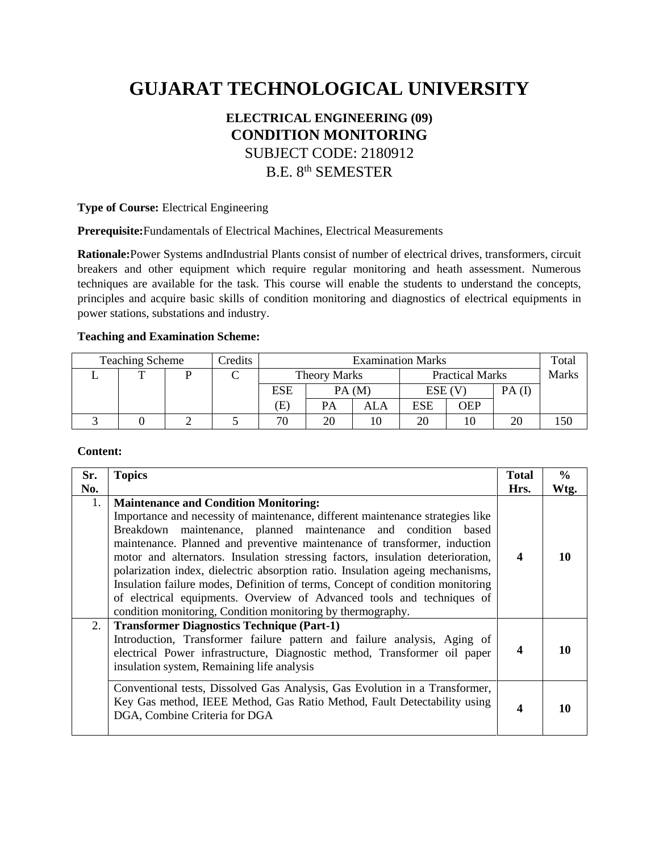# **GUJARAT TECHNOLOGICAL UNIVERSITY**

## **ELECTRICAL ENGINEERING (09) CONDITION MONITORING**  SUBJECT CODE: 2180912 B.E. 8<sup>th</sup> SEMESTER

**Type of Course:** Electrical Engineering

**Prerequisite:**Fundamentals of Electrical Machines, Electrical Measurements

**Rationale:**Power Systems andIndustrial Plants consist of number of electrical drives, transformers, circuit breakers and other equipment which require regular monitoring and heath assessment. Numerous techniques are available for the task. This course will enable the students to understand the concepts, principles and acquire basic skills of condition monitoring and diagnostics of electrical equipments in power stations, substations and industry.

#### **Teaching and Examination Scheme:**

| <b>Teaching Scheme</b> |  |  | Credits | <b>Examination Marks</b> |       |                        |             |       | Total |  |
|------------------------|--|--|---------|--------------------------|-------|------------------------|-------------|-------|-------|--|
|                        |  |  |         | <b>Theory Marks</b>      |       | <b>Practical Marks</b> |             | Marks |       |  |
|                        |  |  |         | <b>ESE</b>               | PA(M) |                        | $ESE$ $(V)$ |       | PA(I) |  |
|                        |  |  |         | Œ,                       | PA    | ALA                    | <b>ESE</b>  | OEP   |       |  |
|                        |  |  |         | 70                       | 20    |                        | 20          | 10    |       |  |

#### **Content:**

| Sr. | <b>Topics</b>                                                                                                                                                                                                                                                                                                                                                                                                                                                                                                                                                                                                                                                                | <b>Total</b>     | $\frac{6}{9}$ |
|-----|------------------------------------------------------------------------------------------------------------------------------------------------------------------------------------------------------------------------------------------------------------------------------------------------------------------------------------------------------------------------------------------------------------------------------------------------------------------------------------------------------------------------------------------------------------------------------------------------------------------------------------------------------------------------------|------------------|---------------|
| No. |                                                                                                                                                                                                                                                                                                                                                                                                                                                                                                                                                                                                                                                                              | Hrs.             | Wtg.          |
| 1.  | <b>Maintenance and Condition Monitoring:</b><br>Importance and necessity of maintenance, different maintenance strategies like<br>Breakdown maintenance, planned maintenance and condition based<br>maintenance. Planned and preventive maintenance of transformer, induction<br>motor and alternators. Insulation stressing factors, insulation deterioration,<br>polarization index, dielectric absorption ratio. Insulation ageing mechanisms,<br>Insulation failure modes, Definition of terms, Concept of condition monitoring<br>of electrical equipments. Overview of Advanced tools and techniques of<br>condition monitoring, Condition monitoring by thermography. | $\boldsymbol{4}$ | 10            |
| 2.  | <b>Transformer Diagnostics Technique (Part-1)</b><br>Introduction, Transformer failure pattern and failure analysis, Aging of<br>electrical Power infrastructure, Diagnostic method, Transformer oil paper<br>insulation system, Remaining life analysis                                                                                                                                                                                                                                                                                                                                                                                                                     | $\boldsymbol{4}$ | 10            |
|     | Conventional tests, Dissolved Gas Analysis, Gas Evolution in a Transformer,<br>Key Gas method, IEEE Method, Gas Ratio Method, Fault Detectability using<br>DGA, Combine Criteria for DGA                                                                                                                                                                                                                                                                                                                                                                                                                                                                                     | 4                | 10            |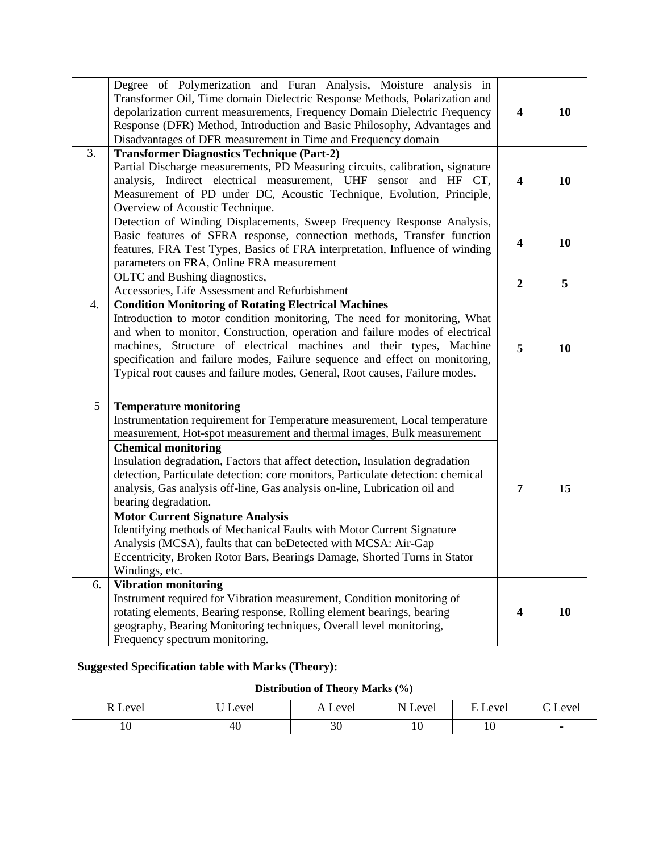|    | Degree of Polymerization and Furan Analysis, Moisture analysis in<br>Transformer Oil, Time domain Dielectric Response Methods, Polarization and<br>depolarization current measurements, Frequency Domain Dielectric Frequency<br>Response (DFR) Method, Introduction and Basic Philosophy, Advantages and<br>Disadvantages of DFR measurement in Time and Frequency domain                                                                                                                                                                                                                                                                                                                                                                                                          | $\overline{\mathbf{4}}$ | 10 |
|----|-------------------------------------------------------------------------------------------------------------------------------------------------------------------------------------------------------------------------------------------------------------------------------------------------------------------------------------------------------------------------------------------------------------------------------------------------------------------------------------------------------------------------------------------------------------------------------------------------------------------------------------------------------------------------------------------------------------------------------------------------------------------------------------|-------------------------|----|
| 3. | <b>Transformer Diagnostics Technique (Part-2)</b>                                                                                                                                                                                                                                                                                                                                                                                                                                                                                                                                                                                                                                                                                                                                   |                         |    |
|    | Partial Discharge measurements, PD Measuring circuits, calibration, signature<br>analysis, Indirect electrical measurement, UHF sensor and HF CT,<br>Measurement of PD under DC, Acoustic Technique, Evolution, Principle,<br>Overview of Acoustic Technique.                                                                                                                                                                                                                                                                                                                                                                                                                                                                                                                       | $\overline{\mathbf{4}}$ | 10 |
|    | Detection of Winding Displacements, Sweep Frequency Response Analysis,<br>Basic features of SFRA response, connection methods, Transfer function<br>features, FRA Test Types, Basics of FRA interpretation, Influence of winding<br>parameters on FRA, Online FRA measurement                                                                                                                                                                                                                                                                                                                                                                                                                                                                                                       | 4                       | 10 |
|    | OLTC and Bushing diagnostics,<br>Accessories, Life Assessment and Refurbishment                                                                                                                                                                                                                                                                                                                                                                                                                                                                                                                                                                                                                                                                                                     | $\boldsymbol{2}$        | 5  |
| 4. | <b>Condition Monitoring of Rotating Electrical Machines</b><br>Introduction to motor condition monitoring, The need for monitoring, What<br>and when to monitor, Construction, operation and failure modes of electrical<br>machines, Structure of electrical machines and their types, Machine<br>specification and failure modes, Failure sequence and effect on monitoring,<br>Typical root causes and failure modes, General, Root causes, Failure modes.                                                                                                                                                                                                                                                                                                                       | 5                       | 10 |
| 5  | <b>Temperature monitoring</b><br>Instrumentation requirement for Temperature measurement, Local temperature<br>measurement, Hot-spot measurement and thermal images, Bulk measurement<br><b>Chemical monitoring</b><br>Insulation degradation, Factors that affect detection, Insulation degradation<br>detection, Particulate detection: core monitors, Particulate detection: chemical<br>analysis, Gas analysis off-line, Gas analysis on-line, Lubrication oil and<br>bearing degradation.<br><b>Motor Current Signature Analysis</b><br>Identifying methods of Mechanical Faults with Motor Current Signature<br>Analysis (MCSA), faults that can beDetected with MCSA: Air-Gap<br>Eccentricity, Broken Rotor Bars, Bearings Damage, Shorted Turns in Stator<br>Windings, etc. | 7                       | 15 |
| 6. | <b>Vibration monitoring</b><br>Instrument required for Vibration measurement, Condition monitoring of<br>rotating elements, Bearing response, Rolling element bearings, bearing<br>geography, Bearing Monitoring techniques, Overall level monitoring,<br>Frequency spectrum monitoring.                                                                                                                                                                                                                                                                                                                                                                                                                                                                                            | 4                       | 10 |

### **Suggested Specification table with Marks (Theory):**

| <b>Distribution of Theory Marks (%)</b> |                    |         |         |         |         |  |  |
|-----------------------------------------|--------------------|---------|---------|---------|---------|--|--|
| R Level                                 | <sup>1</sup> Level | A Level | N Level | E Level | C Level |  |  |
|                                         | 40                 | 30      |         |         | ٠       |  |  |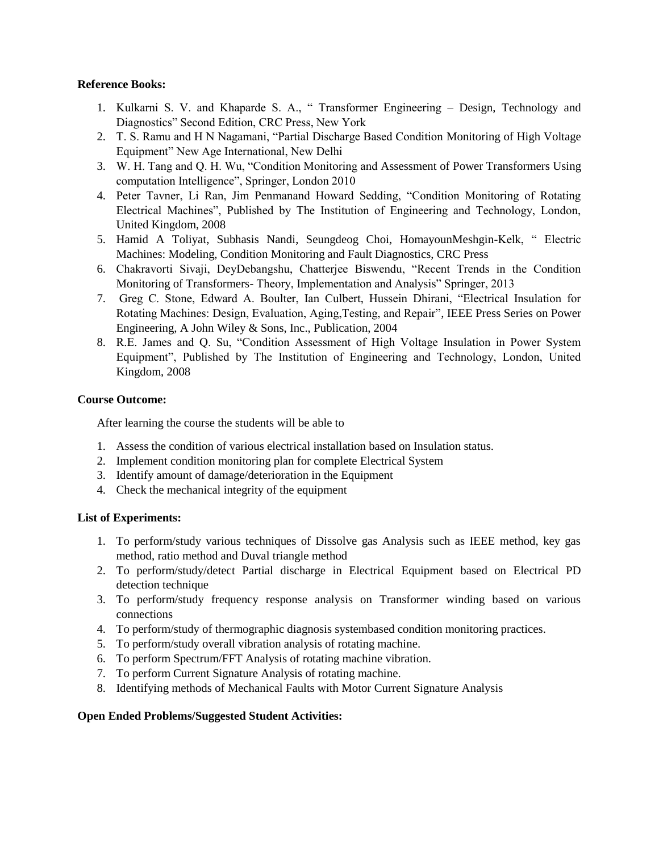#### **Reference Books:**

- 1. Kulkarni S. V. and Khaparde S. A., " Transformer Engineering Design, Technology and Diagnostics" Second Edition, CRC Press, New York
- 2. T. S. Ramu and H N Nagamani, "Partial Discharge Based Condition Monitoring of High Voltage Equipment" New Age International, New Delhi
- 3. W. H. Tang and Q. H. Wu, "Condition Monitoring and Assessment of Power Transformers Using computation Intelligence", Springer, London 2010
- 4. Peter Tavner, Li Ran, Jim Penmanand Howard Sedding, "Condition Monitoring of Rotating Electrical Machines", Published by The Institution of Engineering and Technology, London, United Kingdom, 2008
- 5. Hamid A Toliyat, Subhasis Nandi, Seungdeog Choi, HomayounMeshgin-Kelk, " Electric Machines: Modeling, Condition Monitoring and Fault Diagnostics, CRC Press
- 6. Chakravorti Sivaji, DeyDebangshu, Chatterjee Biswendu, "Recent Trends in the Condition Monitoring of Transformers- Theory, Implementation and Analysis" Springer, 2013
- 7. Greg C. Stone, Edward A. Boulter, Ian Culbert, Hussein Dhirani, "Electrical Insulation for Rotating Machines: Design, Evaluation, Aging,Testing, and Repair", IEEE Press Series on Power Engineering, A John Wiley & Sons, Inc., Publication, 2004
- 8. R.E. James and Q. Su, "Condition Assessment of High Voltage Insulation in Power System Equipment", Published by The Institution of Engineering and Technology, London, United Kingdom, 2008

#### **Course Outcome:**

After learning the course the students will be able to

- 1. Assess the condition of various electrical installation based on Insulation status.
- 2. Implement condition monitoring plan for complete Electrical System
- 3. Identify amount of damage/deterioration in the Equipment
- 4. Check the mechanical integrity of the equipment

#### **List of Experiments:**

- 1. To perform/study various techniques of Dissolve gas Analysis such as IEEE method, key gas method, ratio method and Duval triangle method
- 2. To perform/study/detect Partial discharge in Electrical Equipment based on Electrical PD detection technique
- 3. To perform/study frequency response analysis on Transformer winding based on various connections
- 4. To perform/study of thermographic diagnosis systembased condition monitoring practices.
- 5. To perform/study overall vibration analysis of rotating machine.
- 6. To perform Spectrum/FFT Analysis of rotating machine vibration.
- 7. To perform Current Signature Analysis of rotating machine.
- 8. Identifying methods of Mechanical Faults with Motor Current Signature Analysis

#### **Open Ended Problems/Suggested Student Activities:**